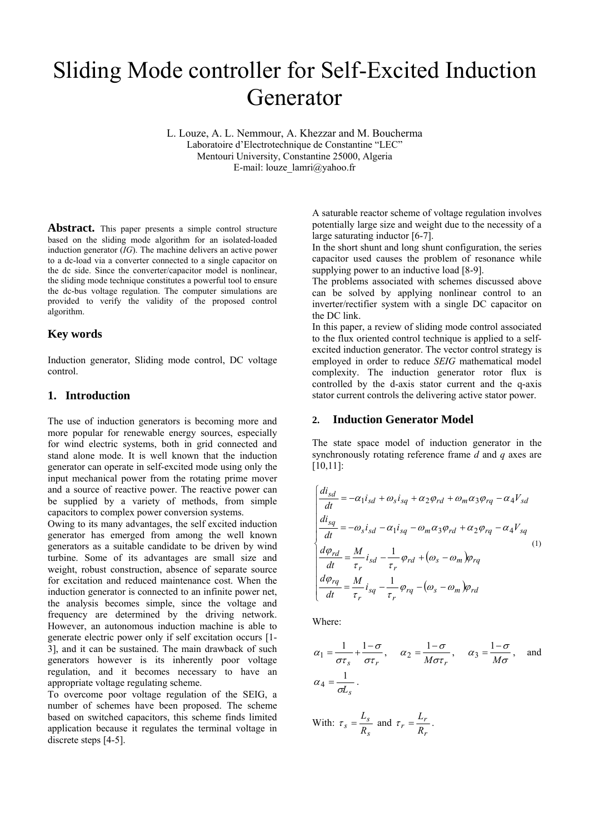# Sliding Mode controller for Self-Excited Induction Generator

L. Louze, A. L. Nemmour, A. Khezzar and M. Boucherma Laboratoire d'Electrotechnique de Constantine "LEC" Mentouri University, Constantine 25000, Algeria E-mail: louze\_lamri@yahoo.fr

**Abstract.** This paper presents a simple control structure based on the sliding mode algorithm for an isolated-loaded induction generator (*IG*). The machine delivers an active power to a dc-load via a converter connected to a single capacitor on the dc side. Since the converter/capacitor model is nonlinear, the sliding mode technique constitutes a powerful tool to ensure the dc-bus voltage regulation. The computer simulations are provided to verify the validity of the proposed control algorithm.

# **Key words**

Induction generator, Sliding mode control, DC voltage control.

# **1. Introduction**

The use of induction generators is becoming more and more popular for renewable energy sources, especially for wind electric systems, both in grid connected and stand alone mode. It is well known that the induction generator can operate in self-excited mode using only the input mechanical power from the rotating prime mover and a source of reactive power. The reactive power can be supplied by a variety of methods, from simple capacitors to complex power conversion systems.

Owing to its many advantages, the self excited induction generator has emerged from among the well known generators as a suitable candidate to be driven by wind turbine. Some of its advantages are small size and weight, robust construction, absence of separate source for excitation and reduced maintenance cost. When the induction generator is connected to an infinite power net, the analysis becomes simple, since the voltage and frequency are determined by the driving network. However, an autonomous induction machine is able to generate electric power only if self excitation occurs [1- 3], and it can be sustained. The main drawback of such generators however is its inherently poor voltage regulation, and it becomes necessary to have an appropriate voltage regulating scheme.

To overcome poor voltage regulation of the SEIG, a number of schemes have been proposed. The scheme based on switched capacitors, this scheme finds limited application because it regulates the terminal voltage in discrete steps [4-5].

A saturable reactor scheme of voltage regulation involves potentially large size and weight due to the necessity of a large saturating inductor [6-7].

In the short shunt and long shunt configuration, the series capacitor used causes the problem of resonance while supplying power to an inductive load [8-9].

The problems associated with schemes discussed above can be solved by applying nonlinear control to an inverter/rectifier system with a single DC capacitor on the DC link.

In this paper, a review of sliding mode control associated to the flux oriented control technique is applied to a selfexcited induction generator. The vector control strategy is employed in order to reduce *SEIG* mathematical model complexity. The induction generator rotor flux is controlled by the d-axis stator current and the q-axis stator current controls the delivering active stator power.

## **2. Induction Generator Model**

The state space model of induction generator in the synchronously rotating reference frame *d* and *q* axes are [10,11]:

$$
\begin{cases}\n\frac{di_{sd}}{dt} = -\alpha_1 i_{sd} + \omega_s i_{sq} + \alpha_2 \varphi_{rd} + \omega_m \alpha_3 \varphi_{rq} - \alpha_4 V_{sd} \\
\frac{di_{sq}}{dt} = -\omega_s i_{sd} - \alpha_1 i_{sq} - \omega_m \alpha_3 \varphi_{rd} + \alpha_2 \varphi_{rq} - \alpha_4 V_{sq} \\
\frac{d\varphi_{rd}}{dt} = \frac{M}{\tau_r} i_{sd} - \frac{1}{\tau_r} \varphi_{rd} + (\omega_s - \omega_m) \varphi_{rq} \\
\frac{d\varphi_{rq}}{dt} = \frac{M}{\tau_r} i_{sq} - \frac{1}{\tau_r} \varphi_{rq} - (\omega_s - \omega_m) \varphi_{rd}\n\end{cases} \tag{1}
$$

Where:

$$
\alpha_1 = \frac{1}{\sigma \tau_s} + \frac{1 - \sigma}{\sigma \tau_r}, \quad \alpha_2 = \frac{1 - \sigma}{M \sigma \tau_r}, \quad \alpha_3 = \frac{1 - \sigma}{M \sigma}, \text{ and}
$$

$$
\alpha_4 = \frac{1}{\sigma L_s}.
$$

With: 
$$
\tau_s = \frac{L_s}{R_s}
$$
 and  $\tau_r = \frac{L_r}{R_r}$ .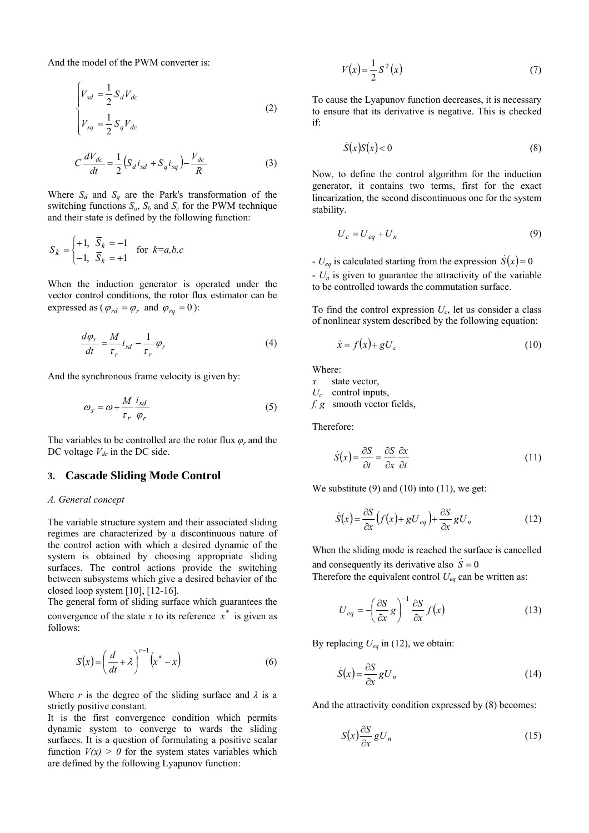And the model of the PWM converter is:

$$
\begin{cases}\nV_{sd} = \frac{1}{2} S_d V_{dc} \\
V_{sq} = \frac{1}{2} S_q V_{dc}\n\end{cases}
$$
\n(2)

$$
C\frac{dV_{dc}}{dt} = \frac{1}{2}\Big(S_d i_{sd} + S_q i_{sq}\Big) - \frac{V_{dc}}{R}
$$
 (3)

Where  $S_d$  and  $S_q$  are the Park's transformation of the switching functions  $S_a$ ,  $S_b$  and  $S_c$  for the PWM technique and their state is defined by the following function:

$$
S_k = \begin{cases} +1, & \overline{S}_k = -1 \\ -1, & \overline{S}_k = +1 \end{cases} \quad \text{for } k = a, b, c
$$

When the induction generator is operated under the vector control conditions, the rotor flux estimator can be expressed as ( $\varphi_{rd} = \varphi_r$  and  $\varphi_{ra} = 0$ ):

$$
\frac{d\varphi_r}{dt} = \frac{M}{\tau_r} i_{sd} - \frac{1}{\tau_r} \varphi_r
$$
\n(4)

And the synchronous frame velocity is given by:

$$
\omega_s = \omega + \frac{M}{\tau_r} \frac{i_{sd}}{\varphi_r} \tag{5}
$$

The variables to be controlled are the rotor flux *φr* and the DC voltage  $V_{dc}$  in the DC side.

# **3. Cascade Sliding Mode Control**

#### *A. General concept*

The variable structure system and their associated sliding regimes are characterized by a discontinuous nature of the control action with which a desired dynamic of the system is obtained by choosing appropriate sliding surfaces. The control actions provide the switching between subsystems which give a desired behavior of the closed loop system [10], [12-16].

The general form of sliding surface which guarantees the convergence of the state  $x$  to its reference  $x^*$  is given as follows:

$$
S(x) = \left(\frac{d}{dt} + \lambda\right)^{r-1} \left(x^* - x\right) \tag{6}
$$

Where *r* is the degree of the sliding surface and  $\lambda$  is a strictly positive constant.

It is the first convergence condition which permits dynamic system to converge to wards the sliding surfaces. It is a question of formulating a positive scalar function  $V(x) > 0$  for the system states variables which are defined by the following Lyapunov function:

$$
V(x) = \frac{1}{2}S^2(x)
$$
 (7)

To cause the Lyapunov function decreases, it is necessary to ensure that its derivative is negative. This is checked if:

$$
\dot{S}(x)S(x) < 0\tag{8}
$$

Now, to define the control algorithm for the induction generator, it contains two terms, first for the exact linearization, the second discontinuous one for the system stability.

$$
U_c = U_{eq} + U_n \tag{9}
$$

-  $U_{eq}$  is calculated starting from the expression  $\dot{S}(x) = 0$  $-U_n$  is given to guarantee the attractivity of the variable to be controlled towards the commutation surface.

To find the control expression  $U_c$ , let us consider a class of nonlinear system described by the following equation:

$$
\dot{x} = f(x) + gU_c \tag{10}
$$

Where:

*x* state vector,

*Uc* control inputs,

*f, g* smooth vector fields,

Therefore:

$$
\dot{S}(x) = \frac{\partial S}{\partial t} = \frac{\partial S}{\partial x} \frac{\partial x}{\partial t}
$$
\n(11)

We substitute  $(9)$  and  $(10)$  into  $(11)$ , we get:

$$
\dot{S}(x) = \frac{\partial S}{\partial x} \left( f(x) + gU_{eq} \right) + \frac{\partial S}{\partial x} gU_n \tag{12}
$$

When the sliding mode is reached the surface is cancelled and consequently its derivative also  $\dot{S} = 0$ 

Therefore the equivalent control  $U_{eq}$  can be written as:

$$
U_{eq} = -\left(\frac{\partial S}{\partial x}g\right)^{-1} \frac{\partial S}{\partial x}f(x)
$$
 (13)

By replacing  $U_{eq}$  in (12), we obtain:

$$
\dot{S}(x) = \frac{\partial S}{\partial x} g U_n \tag{14}
$$

And the attractivity condition expressed by (8) becomes:

$$
S(x)\frac{\partial S}{\partial x}gU_n\tag{15}
$$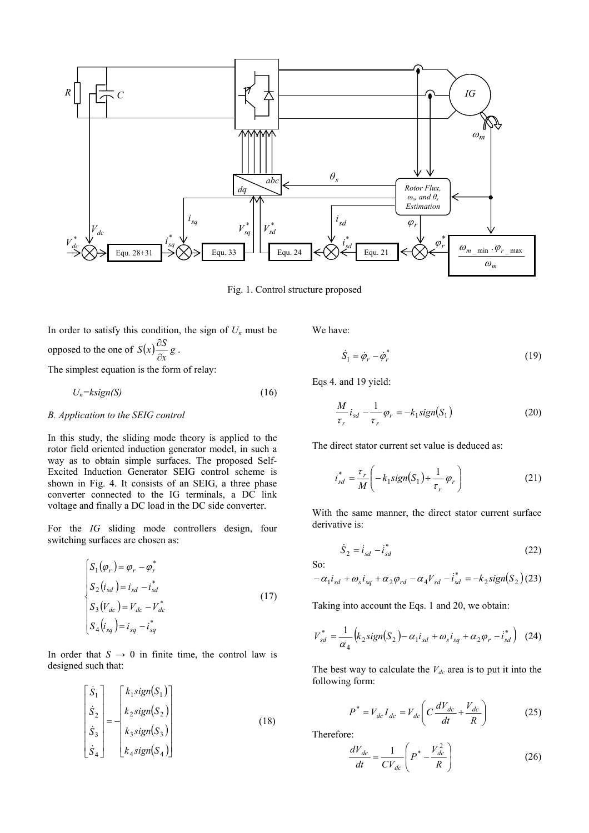

Fig. 1. Control structure proposed

In order to satisfy this condition, the sign of  $U_n$  must be opposed to the one of  $S(x) \frac{\partial S}{\partial x} g$ . The simplest equation is the form of relay:

$$
U_n = k \cdot \text{sign}(S) \tag{16}
$$

### *B. Application to the SEIG control*

In this study, the sliding mode theory is applied to the rotor field oriented induction generator model, in such a way as to obtain simple surfaces. The proposed Self-Excited Induction Generator SEIG control scheme is shown in Fig. 4. It consists of an SEIG, a three phase converter connected to the IG terminals, a DC link voltage and finally a DC load in the DC side converter.

For the *IG* sliding mode controllers design, four switching surfaces are chosen as:

$$
\begin{cases}\nS_1(\varphi_r) = \varphi_r - \varphi_r^* \\
S_2(i_{sd}) = i_{sd} - i_{sd}^* \\
S_3(V_{dc}) = V_{dc} - V_{dc}^* \\
S_4(i_{sq}) = i_{sq} - i_{sq}^* \n\end{cases}
$$
\n(17)

In order that  $S \rightarrow 0$  in finite time, the control law is designed such that:

$$
\begin{bmatrix} \dot{S}_1 \\ \dot{S}_2 \\ \dot{S}_3 \\ \dot{S}_4 \end{bmatrix} = - \begin{bmatrix} k_1 sign(S_1) \\ k_2 sign(S_2) \\ k_3 sign(S_3) \\ k_4 sign(S_4) \end{bmatrix}
$$
 (18)

We have:

$$
\dot{S}_1 = \dot{\phi}_r - \dot{\phi}_r^* \tag{19}
$$

Eqs 4. and 19 yield:

$$
\frac{M}{\tau_r} i_{sd} - \frac{1}{\tau_r} \varphi_r = -k_1 sign(S_1)
$$
\n(20)

The direct stator current set value is deduced as:

$$
i_{sd}^* = \frac{\tau_r}{M} \left( -k_1 sign(S_1) + \frac{1}{\tau_r} \varphi_r \right)
$$
 (21)

With the same manner, the direct stator current surface derivative is:

$$
\dot{S}_2 = \dot{i}_{sd} - \dot{i}_{sd}^* \tag{22}
$$

So:

$$
-\alpha_1 i_{sd} + \omega_s i_{sq} + \alpha_2 \varphi_{rd} - \alpha_4 V_{sd} - i_{sd}^* = -k_2 sign(S_2)(23)
$$

Taking into account the Eqs. 1 and 20, we obtain:

$$
V_{sd}^* = \frac{1}{\alpha_4} \Big( k_2 sign(S_2) - \alpha_1 i_{sd} + \omega_s i_{sq} + \alpha_2 \varphi_r - i_{sd}^* \Big) \tag{24}
$$

The best way to calculate the  $V_{dc}$  area is to put it into the following form:

$$
P^* = V_{dc} I_{dc} = V_{dc} \left( C \frac{dV_{dc}}{dt} + \frac{V_{dc}}{R} \right) \tag{25}
$$

Therefore:

$$
\frac{dV_{dc}}{dt} = \frac{1}{CV_{dc}} \left( P^* - \frac{V_{dc}^2}{R} \right) \tag{26}
$$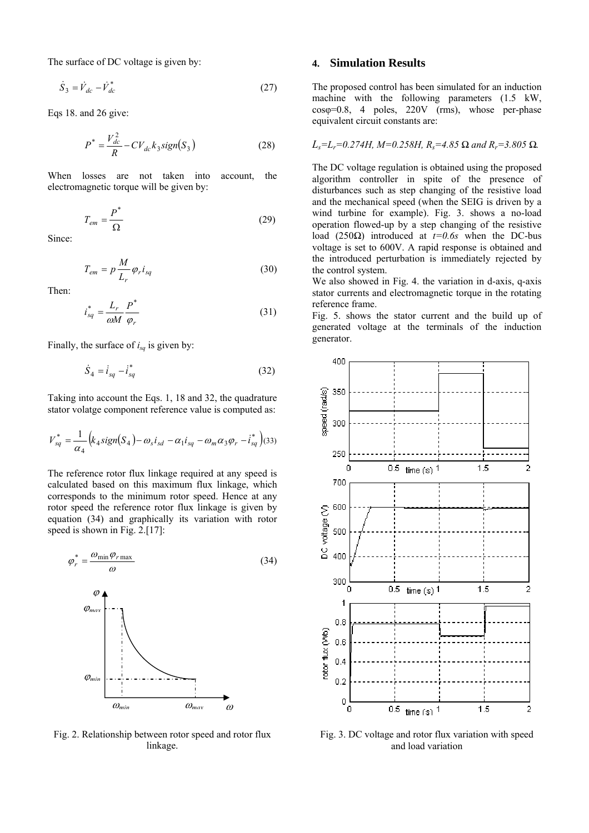The surface of DC voltage is given by:

$$
\dot{S}_3 = \dot{V}_{dc} - \dot{V}_{dc}^* \tag{27}
$$

Eqs 18. and 26 give:

$$
P^* = \frac{V_{dc}^2}{R} - CV_{dc}k_3 sign(S_3)
$$
 (28)

When losses are not taken into account, the electromagnetic torque will be given by:

$$
T_{em} = \frac{P^*}{\Omega} \tag{29}
$$

Since:

$$
T_{em} = p \frac{M}{L_r} \varphi_r i_{sq} \tag{30}
$$

Then:

$$
i_{sq}^* = \frac{L_r}{\omega M} \frac{P^*}{\varphi_r} \tag{31}
$$

Finally, the surface of *isq* is given by:

$$
\dot{S}_4 = \dot{i}_{sq} - \dot{i}_{sq}^* \tag{32}
$$

Taking into account the Eqs. 1, 18 and 32, the quadrature stator volatge component reference value is computed as:

$$
V_{sq}^* = \frac{1}{\alpha_4} \Big( k_4 sign(S_4) - \omega_s i_{sd} - \alpha_1 i_{sq} - \omega_m \alpha_3 \varphi_r - i_{sq}^* \Big) (33)
$$

The reference rotor flux linkage required at any speed is calculated based on this maximum flux linkage, which corresponds to the minimum rotor speed. Hence at any rotor speed the reference rotor flux linkage is given by equation (34) and graphically its variation with rotor speed is shown in Fig. 2.[17]:





Fig. 2. Relationship between rotor speed and rotor flux linkage.

## **4. Simulation Results**

The proposed control has been simulated for an induction machine with the following parameters (1.5 kW,  $cos\varphi=0.8$ , 4 poles, 220V (rms), whose per-phase equivalent circuit constants are:

$$
L_s = L_r = 0.274H
$$
,  $M = 0.258H$ ,  $R_s = 4.85 \Omega$  and  $R_r = 3.805 \Omega$ .

The DC voltage regulation is obtained using the proposed algorithm controller in spite of the presence of disturbances such as step changing of the resistive load and the mechanical speed (when the SEIG is driven by a wind turbine for example). Fig. 3. shows a no-load operation flowed-up by a step changing of the resistive load (250*Ω*) introduced at *t=0.6s* when the DC-bus voltage is set to 600V. A rapid response is obtained and the introduced perturbation is immediately rejected by the control system.

We also showed in Fig. 4. the variation in d-axis, q-axis stator currents and electromagnetic torque in the rotating reference frame.

Fig. 5. shows the stator current and the build up of generated voltage at the terminals of the induction generator.



Fig. 3. DC voltage and rotor flux variation with speed and load variation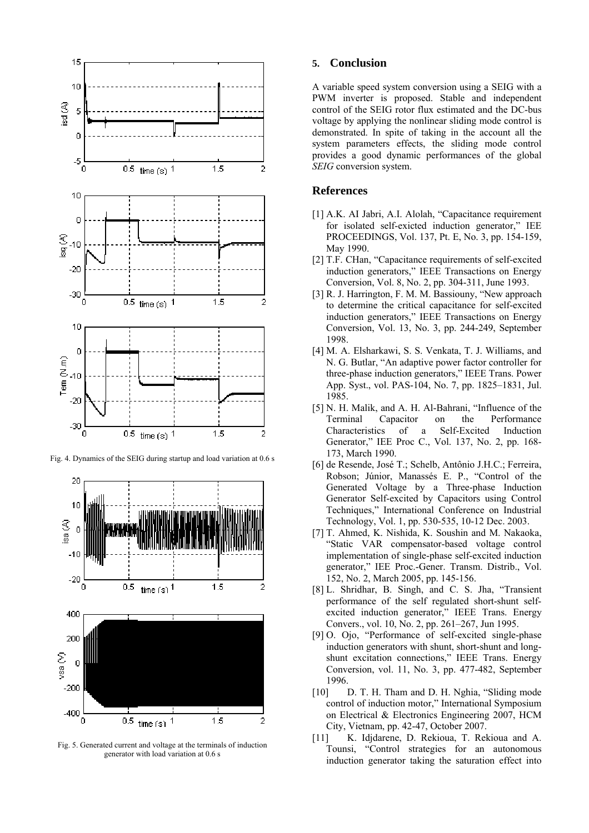

Fig. 4. Dynamics of the SEIG during startup and load variation at 0.6 s



Fig. 5. Generated current and voltage at the terminals of induction generator with load variation at 0.6 s

## **5. Conclusion**

A variable speed system conversion using a SEIG with a PWM inverter is proposed. Stable and independent control of the SEIG rotor flux estimated and the DC-bus voltage by applying the nonlinear sliding mode control is demonstrated. In spite of taking in the account all the system parameters effects, the sliding mode control provides a good dynamic performances of the global *SEIG* conversion system.

## **References**

- [1] A.K. AI Jabri, A.I. Alolah, "Capacitance requirement for isolated self-exicted induction generator," IEE PROCEEDINGS, Vol. 137, Pt. E, No. 3, pp. 154-159, May 1990.
- [2] T.F. CHan, "Capacitance requirements of self-excited induction generators," IEEE Transactions on Energy Conversion, Vol. 8, No. 2, pp. 304-311, June 1993.
- [3] R. J. Harrington, F. M. M. Bassiouny, "New approach to determine the critical capacitance for self-excited induction generators," IEEE Transactions on Energy Conversion, Vol. 13, No. 3, pp. 244-249, September 1998.
- [4] M. A. Elsharkawi, S. S. Venkata, T. J. Williams, and N. G. Butlar, "An adaptive power factor controller for three-phase induction generators," IEEE Trans. Power App. Syst., vol. PAS-104, No. 7, pp. 1825–1831, Jul. 1985.
- [5] N. H. Malik, and A. H. Al-Bahrani, "Influence of the Terminal Capacitor on the Performance Characteristics of a Self-Excited Induction Generator," IEE Proc C., Vol. 137, No. 2, pp. 168- 173, March 1990.
- [6] de Resende, José T.; Schelb, Antônio J.H.C.; Ferreira, Robson; Júnior, Manassés E. P., "Control of the Generated Voltage by a Three-phase Induction Generator Self-excited by Capacitors using Control Techniques," International Conference on Industrial Technology, Vol. 1, pp. 530-535, 10-12 Dec. 2003.
- [7] T. Ahmed, K. Nishida, K. Soushin and M. Nakaoka, "Static VAR compensator-based voltage control implementation of single-phase self-excited induction generator," IEE Proc.-Gener. Transm. Distrib., Vol. 152, No. 2, March 2005, pp. 145-156.
- [8] L. Shridhar, B. Singh, and C. S. Jha, "Transient performance of the self regulated short-shunt selfexcited induction generator," IEEE Trans. Energy Convers., vol. 10, No. 2, pp. 261–267, Jun 1995.
- [9] O. Ojo, "Performance of self-excited single-phase induction generators with shunt, short-shunt and longshunt excitation connections," IEEE Trans. Energy Conversion, vol. 11, No. 3, pp. 477-482, September 1996.
- [10] D. T. H. Tham and D. H. Nghia, "Sliding mode control of induction motor," International Symposium on Electrical & Electronics Engineering 2007, HCM City, Vietnam, pp. 42-47, October 2007.
- [11] K. Idjdarene, D. Rekioua, T. Rekioua and A. Tounsi, "Control strategies for an autonomous induction generator taking the saturation effect into